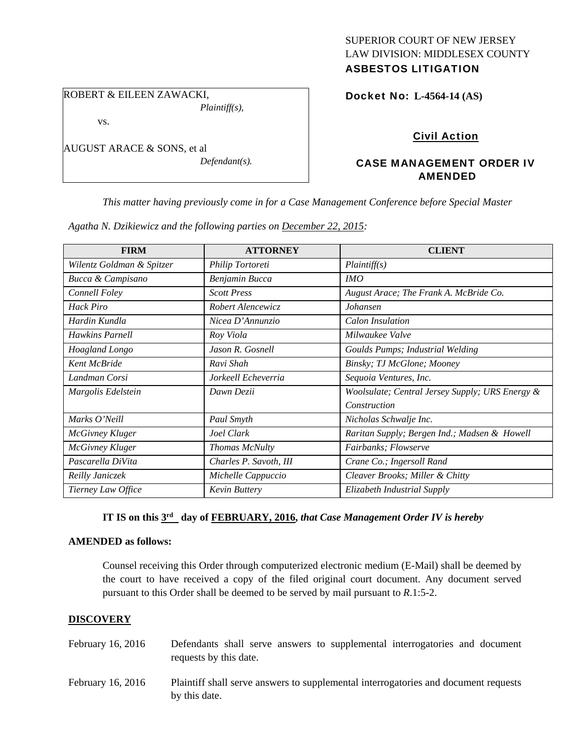# SUPERIOR COURT OF NEW JERSEY LAW DIVISION: MIDDLESEX COUNTY

# ASBESTOS LITIGATION

ROBERT & EILEEN ZAWACKI,

vs.

AUGUST ARACE & SONS, et al

*Defendant(s).* 

*Plaintiff(s),* 

## Docket No: **L-4564-14 (AS)**

# Civil Action

## CASE MANAGEMENT ORDER IV AMENDED

*This matter having previously come in for a Case Management Conference before Special Master* 

|                           | Agatha N. Dzikiewicz and the following parties on December 22, 2015: |                                                 |
|---------------------------|----------------------------------------------------------------------|-------------------------------------------------|
| <b>FIRM</b>               | <b>ATTORNEY</b>                                                      | <b>CLIENT</b>                                   |
| Wilentz Goldman & Spitzer | Philip Tortoreti                                                     | Plaintiff(s)                                    |
| Bucca & Campisano         | Benjamin Bucca                                                       | IMO                                             |
| Connell Foley             | <b>Scott Press</b>                                                   | August Arace; The Frank A. McBride Co.          |
| <b>Hack Piro</b>          | Robert Alencewicz                                                    | Johansen                                        |
| Hardin Kundla             | Nicea D'Annunzio                                                     | Calon Insulation                                |
| Hawkins Parnell           | Roy Viola                                                            | Milwaukee Valve                                 |
| Hoagland Longo            | Jason R. Gosnell                                                     | Goulds Pumps; Industrial Welding                |
| Kent McBride              | Ravi Shah                                                            | Binsky; TJ McGlone; Mooney                      |
| Landman Corsi             | Jorkeell Echeverria                                                  | Sequoia Ventures, Inc.                          |
| Margolis Edelstein        | Dawn Dezii                                                           | Woolsulate; Central Jersey Supply; URS Energy & |
|                           |                                                                      | Construction                                    |
| Marks O'Neill             | Paul Smyth                                                           | Nicholas Schwalje Inc.                          |
| <b>McGivney Kluger</b>    | Joel Clark                                                           | Raritan Supply; Bergen Ind.; Madsen & Howell    |
| McGivney Kluger           | Thomas McNulty                                                       | Fairbanks; Flowserve                            |
| Pascarella DiVita         | Charles P. Savoth, III                                               | Crane Co.; Ingersoll Rand                       |
| Reilly Janiczek           | Michelle Cappuccio                                                   | Cleaver Brooks; Miller & Chitty                 |
| Tierney Law Office        | Kevin Buttery                                                        | Elizabeth Industrial Supply                     |

*Agatha N. Dzikiewicz and the following parties on December 22, 2015:* 

# **IT IS on this 3rd day of FEBRUARY, 2016,** *that Case Management Order IV is hereby*

#### **AMENDED as follows:**

Counsel receiving this Order through computerized electronic medium (E-Mail) shall be deemed by the court to have received a copy of the filed original court document. Any document served pursuant to this Order shall be deemed to be served by mail pursuant to *R*.1:5-2.

### **DISCOVERY**

| February 16, 2016 | Defendants shall serve answers to supplemental interrogatories and document<br>requests by this date. |
|-------------------|-------------------------------------------------------------------------------------------------------|
| February 16, 2016 | Plaintiff shall serve answers to supplemental interrogatories and document requests<br>by this date.  |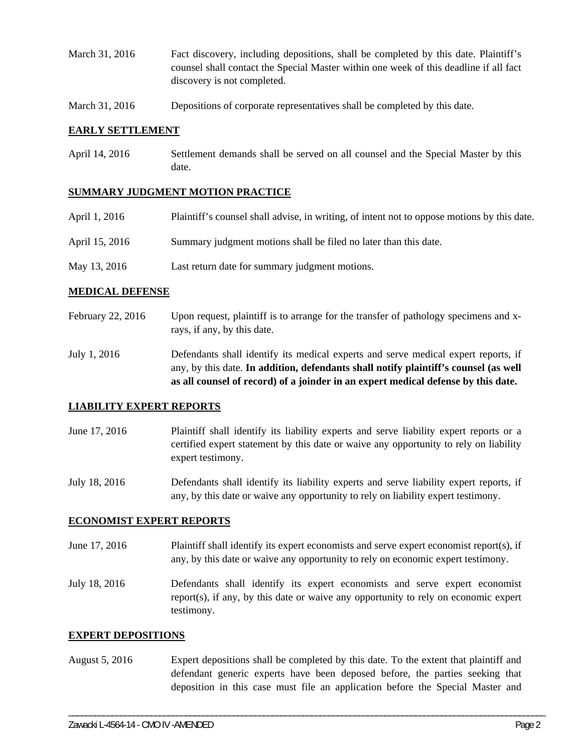- March 31, 2016 Fact discovery, including depositions, shall be completed by this date. Plaintiff's counsel shall contact the Special Master within one week of this deadline if all fact discovery is not completed.
- March 31, 2016 Depositions of corporate representatives shall be completed by this date.

#### **EARLY SETTLEMENT**

April 14, 2016 Settlement demands shall be served on all counsel and the Special Master by this date.

#### **SUMMARY JUDGMENT MOTION PRACTICE**

| April 1, 2016  | Plaintiff's counsel shall advise, in writing, of intent not to oppose motions by this date. |
|----------------|---------------------------------------------------------------------------------------------|
| April 15, 2016 | Summary judgment motions shall be filed no later than this date.                            |

May 13, 2016 Last return date for summary judgment motions.

#### **MEDICAL DEFENSE**

- February 22, 2016 Upon request, plaintiff is to arrange for the transfer of pathology specimens and xrays, if any, by this date.
- July 1, 2016 Defendants shall identify its medical experts and serve medical expert reports, if any, by this date. **In addition, defendants shall notify plaintiff's counsel (as well as all counsel of record) of a joinder in an expert medical defense by this date.**

#### **LIABILITY EXPERT REPORTS**

June 17, 2016 Plaintiff shall identify its liability experts and serve liability expert reports or a certified expert statement by this date or waive any opportunity to rely on liability expert testimony.

July 18, 2016 Defendants shall identify its liability experts and serve liability expert reports, if any, by this date or waive any opportunity to rely on liability expert testimony.

#### **ECONOMIST EXPERT REPORTS**

- June 17, 2016 Plaintiff shall identify its expert economists and serve expert economist report(s), if any, by this date or waive any opportunity to rely on economic expert testimony.
- July 18, 2016 Defendants shall identify its expert economists and serve expert economist report(s), if any, by this date or waive any opportunity to rely on economic expert testimony.

#### **EXPERT DEPOSITIONS**

August 5, 2016 Expert depositions shall be completed by this date. To the extent that plaintiff and defendant generic experts have been deposed before, the parties seeking that deposition in this case must file an application before the Special Master and

\_\_\_\_\_\_\_\_\_\_\_\_\_\_\_\_\_\_\_\_\_\_\_\_\_\_\_\_\_\_\_\_\_\_\_\_\_\_\_\_\_\_\_\_\_\_\_\_\_\_\_\_\_\_\_\_\_\_\_\_\_\_\_\_\_\_\_\_\_\_\_\_\_\_\_\_\_\_\_\_\_\_\_\_\_\_\_\_\_\_\_\_\_\_\_\_\_\_\_\_\_\_\_\_\_\_\_\_\_\_